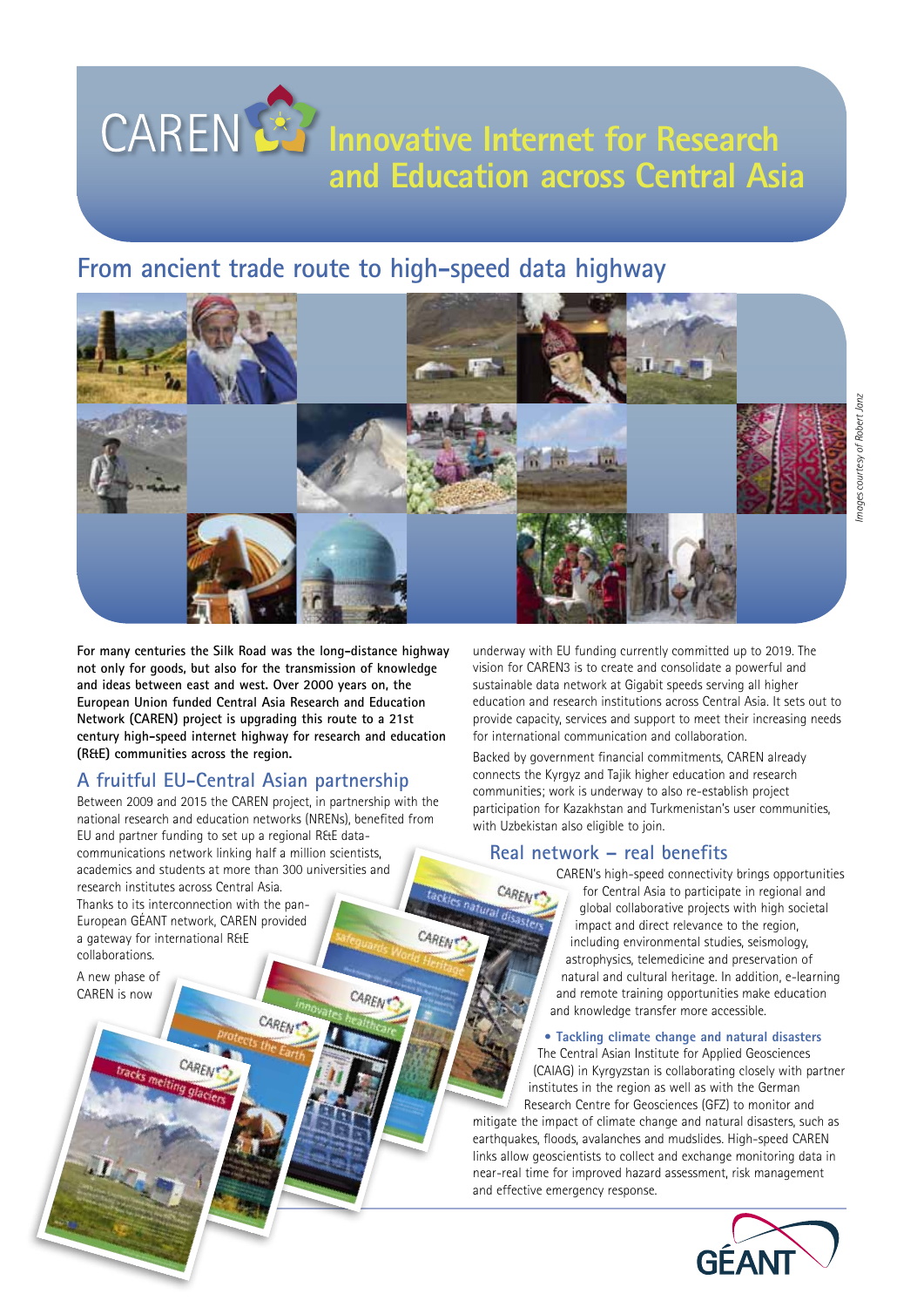# **CAREN BY Innovative Internet for Research and Education across Central Asia**

## **From ancient trade route to high-speed data highway**



**For many centuries the Silk Road was the long-distance highway not only for goods, but also for the transmission of knowledge and ideas between east and west. Over 2000 years on, the European Union funded Central Asia Research and Education Network (CAREN) project is upgrading this route to a 21st century high-speed internet highway for research and education (R&E) communities across the region.**

## **A fruitful EU-Central Asian partnership**

Between 2009 and 2015 the CAREN project, in partnership with the national research and education networks (NRENs), benefited from EU and partner funding to set up a regional R&E datacommunications network linking half a million scientists, academics and students at more than 300 universities and research institutes across Central Asia. Thanks to its interconnection with the pan-European GÉANT network, CAREN provided CAREN a gateway for international R&E collaborations.

CARENT

CARENT

A new phase of CAREN is now

underway with EU funding currently committed up to 2019. The vision for CAREN3 is to create and consolidate a powerful and sustainable data network at Gigabit speeds serving all higher education and research institutions across Central Asia. It sets out to provide capacity, services and support to meet their increasing needs for international communication and collaboration.

Backed by government financial commitments, CAREN already connects the Kyrgyz and Tajik higher education and research communities; work is underway to also re-establish project participation for Kazakhstan and Turkmenistan's user communities, with Uzbekistan also eligible to join.

### **Real network – real benefits**

CAREN'

CAREN's high-speed connectivity brings opportunities for Central Asia to participate in regional and global collaborative projects with high societal impact and direct relevance to the region, including environmental studies, seismology, astrophysics, telemedicine and preservation of natural and cultural heritage. In addition, e-learning and remote training opportunities make education and knowledge transfer more accessible.

#### **• Tackling climate change and natural disasters**

The Central Asian Institute for Applied Geosciences (CAIAG) in Kyrgyzstan is collaborating closely with partner institutes in the region as well as with the German Research Centre for Geosciences (GFZ) to monitor and mitigate the impact of climate change and natural disasters, such as earthquakes, floods, avalanches and mudslides. High-speed CAREN links allow geoscientists to collect and exchange monitoring data in near-real time for improved hazard assessment, risk management and effective emergency response.